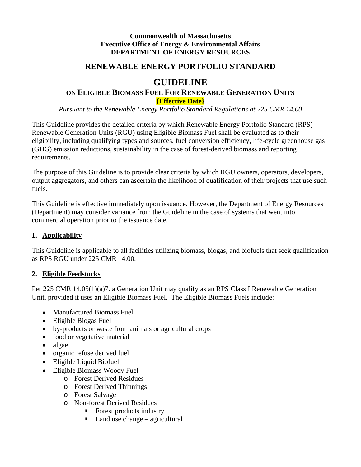#### **Commonwealth of Massachusetts Executive Office of Energy & Environmental Affairs DEPARTMENT OF ENERGY RESOURCES**

## **RENEWABLE ENERGY PORTFOLIO STANDARD**

# **GUIDELINE**

## **ON ELIGIBLE BIOMASS FUEL FOR RENEWABLE GENERATION UNITS {Effective Date}**

*Pursuant to the Renewable Energy Portfolio Standard Regulations at 225 CMR 14.00*

This Guideline provides the detailed criteria by which Renewable Energy Portfolio Standard (RPS) Renewable Generation Units (RGU) using Eligible Biomass Fuel shall be evaluated as to their eligibility, including qualifying types and sources, fuel conversion efficiency, life-cycle greenhouse gas (GHG) emission reductions, sustainability in the case of forest-derived biomass and reporting requirements.

The purpose of this Guideline is to provide clear criteria by which RGU owners, operators, developers, output aggregators, and others can ascertain the likelihood of qualification of their projects that use such fuels.

This Guideline is effective immediately upon issuance. However, the Department of Energy Resources (Department) may consider variance from the Guideline in the case of systems that went into commercial operation prior to the issuance date.

#### **1. Applicability**

This Guideline is applicable to all facilities utilizing biomass, biogas, and biofuels that seek qualification as RPS RGU under 225 CMR 14.00.

#### **2. Eligible Feedstocks**

Per 225 CMR 14.05(1)(a)7. a Generation Unit may qualify as an RPS Class I Renewable Generation Unit, provided it uses an Eligible Biomass Fuel. The Eligible Biomass Fuels include:

- Manufactured Biomass Fuel
- Eligible Biogas Fuel
- by-products or waste from animals or agricultural crops
- food or vegetative material
- algae
- organic refuse derived fuel
- Eligible Liquid Biofuel
- Eligible Biomass Woody Fuel
	- o Forest Derived Residues
	- o Forest Derived Thinnings
	- o Forest Salvage
	- o Non-forest Derived Residues
		- Forest products industry
		- $\blacksquare$  Land use change agricultural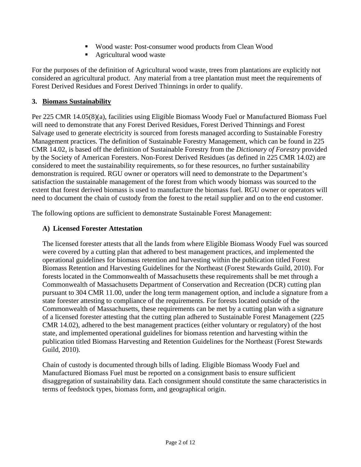- Wood waste: Post-consumer wood products from Clean Wood
- Agricultural wood waste

For the purposes of the definition of Agricultural wood waste, trees from plantations are explicitly not considered an agricultural product. Any material from a tree plantation must meet the requirements of Forest Derived Residues and Forest Derived Thinnings in order to qualify.

### **3. Biomass Sustainability**

Per 225 CMR 14.05(8)(a), facilities using Eligible Biomass Woody Fuel or Manufactured Biomass Fuel will need to demonstrate that any Forest Derived Residues, Forest Derived Thinnings and Forest Salvage used to generate electricity is sourced from forests managed according to Sustainable Forestry Management practices. The definition of Sustainable Forestry Management, which can be found in 225 CMR 14.02, is based off the definition of Sustainable Forestry from the *Dictionary of Forestry* provided by the Society of American Foresters. Non-Forest Derived Residues (as defined in 225 CMR 14.02) are considered to meet the sustainability requirements, so for these resources, no further sustainability demonstration is required. RGU owner or operators will need to demonstrate to the Department's satisfaction the sustainable management of the forest from which woody biomass was sourced to the extent that forest derived biomass is used to manufacture the biomass fuel. RGU owner or operators will need to document the chain of custody from the forest to the retail supplier and on to the end customer.

The following options are sufficient to demonstrate Sustainable Forest Management:

## **A) Licensed Forester Attestation**

The licensed forester attests that all the lands from where Eligible Biomass Woody Fuel was sourced were covered by a cutting plan that adhered to best management practices, and implemented the operational guidelines for biomass retention and harvesting within the publication titled Forest Biomass Retention and Harvesting Guidelines for the Northeast (Forest Stewards Guild, 2010). For forests located in the Commonwealth of Massachusetts these requirements shall be met through a Commonwealth of Massachusetts Department of Conservation and Recreation (DCR) cutting plan pursuant to 304 CMR 11.00, under the long term management option, and include a signature from a state forester attesting to compliance of the requirements. For forests located outside of the Commonwealth of Massachusetts, these requirements can be met by a cutting plan with a signature of a licensed forester attesting that the cutting plan adhered to Sustainable Forest Management (225 CMR 14.02), adhered to the best management practices (either voluntary or regulatory) of the host state, and implemented operational guidelines for biomass retention and harvesting within the publication titled Biomass Harvesting and Retention Guidelines for the Northeast (Forest Stewards Guild, 2010).

Chain of custody is documented through bills of lading. Eligible Biomass Woody Fuel and Manufactured Biomass Fuel must be reported on a consignment basis to ensure sufficient disaggregation of sustainability data. Each consignment should constitute the same characteristics in terms of feedstock types, biomass form, and geographical origin.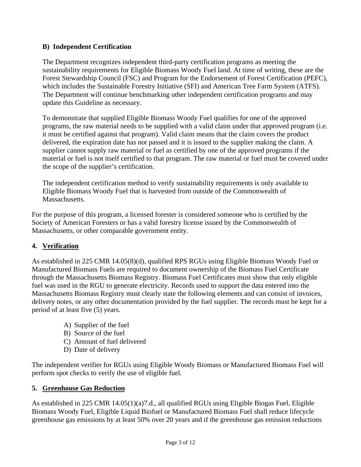### **B) Independent Certification**

The Department recognizes independent third-party certification programs as meeting the sustainability requirements for Eligible Biomass Woody Fuel land. At time of writing, these are the Forest Stewardship Council (FSC) and Program for the Endorsement of Forest Certification (PEFC), which includes the Sustainable Forestry Initiative (SFI) and American Tree Farm System (ATFS). The Department will continue benchmarking other independent certification programs and may update this Guideline as necessary.

To demonstrate that supplied Eligible Biomass Woody Fuel qualifies for one of the approved programs, the raw material needs to be supplied with a valid claim under that approved program (i.e. it must be certified against that program). Valid claim means that the claim covers the product delivered, the expiration date has not passed and it is issued to the supplier making the claim. A supplier cannot supply raw material or fuel as certified by one of the approved programs if the material or fuel is not itself certified to that program. The raw material or fuel must be covered under the scope of the supplier's certification.

The independent certification method to verify sustainability requirements is only available to Eligible Biomass Woody Fuel that is harvested from outside of the Commonwealth of Massachusetts.

For the purpose of this program, a licensed forester is considered someone who is certified by the Society of American Foresters or has a valid forestry license issued by the Commonwealth of Massachusetts, or other comparable government entity.

## **4. Verification**

As established in 225 CMR 14.05(8)(d), qualified RPS RGUs using Eligible Biomass Woody Fuel or Manufactured Biomass Fuels are required to document ownership of the Biomass Fuel Certificate through the Massachusetts Biomass Registry. Biomass Fuel Certificates must show that only eligible fuel was used in the RGU to generate electricity. Records used to support the data entered into the Massachusetts Biomass Registry must clearly state the following elements and can consist of invoices, delivery notes, or any other documentation provided by the fuel supplier. The records must be kept for a period of at least five (5) years.

- A) Supplier of the fuel
- B) Source of the fuel
- C) Amount of fuel delivered
- D) Date of delivery

The independent verifier for RGUs using Eligible Woody Biomass or Manufactured Biomass Fuel will perform spot checks to verify the use of eligible fuel.

#### **5. Greenhouse Gas Reduction**

As established in 225 CMR 14.05(1)(a)7.d., all qualified RGUs using Eligible Biogas Fuel, Eligible Biomass Woody Fuel, Eligible Liquid Biofuel or Manufactured Biomass Fuel shall reduce lifecycle greenhouse gas emissions by at least 50% over 20 years and if the greenhouse gas emission reductions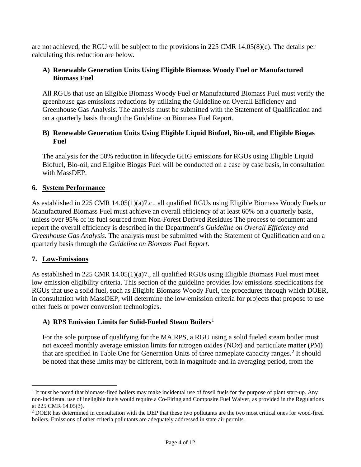are not achieved, the RGU will be subject to the provisions in 225 CMR 14.05(8)(e). The details per calculating this reduction are below.

#### **A) Renewable Generation Units Using Eligible Biomass Woody Fuel or Manufactured Biomass Fuel**

All RGUs that use an Eligible Biomass Woody Fuel or Manufactured Biomass Fuel must verify the greenhouse gas emissions reductions by utilizing the Guideline on Overall Efficiency and Greenhouse Gas Analysis. The analysis must be submitted with the Statement of Qualification and on a quarterly basis through the Guideline on Biomass Fuel Report.

#### **B) Renewable Generation Units Using Eligible Liquid Biofuel, Bio-oil, and Eligible Biogas Fuel**

The analysis for the 50% reduction in lifecycle GHG emissions for RGUs using Eligible Liquid Biofuel, Bio-oil, and Eligible Biogas Fuel will be conducted on a case by case basis, in consultation with MassDEP.

#### **6. System Performance**

As established in 225 CMR 14.05(1)(a)7.c., all qualified RGUs using Eligible Biomass Woody Fuels or Manufactured Biomass Fuel must achieve an overall efficiency of at least 60% on a quarterly basis, unless over 95% of its fuel sourced from Non-Forest Derived Residues The process to document and report the overall efficiency is described in the Department's *Guideline on Overall Efficiency and Greenhouse Gas Analysis.* The analysis must be submitted with the Statement of Qualification and on a quarterly basis through the *Guideline on Biomass Fuel Report*.

#### **7. Low-Emissions**

As established in 225 CMR 14.05(1)(a)7., all qualified RGUs using Eligible Biomass Fuel must meet low emission eligibility criteria. This section of the guideline provides low emissions specifications for RGUs that use a solid fuel, such as Eligible Biomass Woody Fuel, the procedures through which DOER, in consultation with MassDEP, will determine the low-emission criteria for projects that propose to use other fuels or power conversion technologies.

#### **A) RPS Emission Limits for Solid-Fueled Steam Boilers**[1](#page-3-0)

For the sole purpose of qualifying for the MA RPS, a RGU using a solid fueled steam boiler must not exceed monthly average emission limits for nitrogen oxides (NOx) and particulate matter (PM) that are specified in Table One for Generation Units of three nameplate capacity ranges.<sup>[2](#page-3-1)</sup> It should be noted that these limits may be different, both in magnitude and in averaging period, from the

<span id="page-3-0"></span> $<sup>1</sup>$  It must be noted that biomass-fired boilers may make incidental use of fossil fuels for the purpose of plant start-up. Any</sup> non-incidental use of ineligible fuels would require a Co-Firing and Composite Fuel Waiver, as provided in the Regulations at 225 CMR 14.05(3).

<span id="page-3-1"></span><sup>&</sup>lt;sup>2</sup> DOER has determined in consultation with the DEP that these two pollutants are the two most critical ones for wood-fired boilers. Emissions of other criteria pollutants are adequately addressed in state air permits.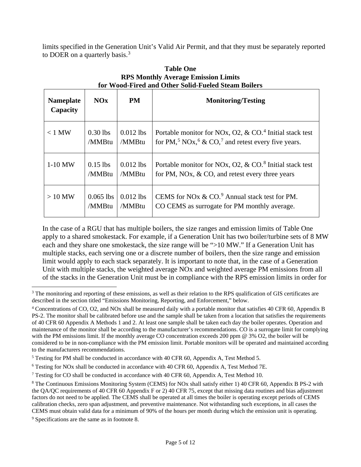limits specified in the Generation Unit's Valid Air Permit, and that they must be separately reported to DOER on a quarterly basis.<sup>[3](#page-4-0)</sup>

| <b>Nameplate</b><br>Capacity | NOx         | <b>PM</b>   | <b>Monitoring/Testing</b>                                                              |
|------------------------------|-------------|-------------|----------------------------------------------------------------------------------------|
| $< 1$ MW                     | $0.30$ lbs  | $0.012$ lbs | Portable monitor for NOx, O2, & CO. <sup>4</sup> Initial stack test                    |
|                              | /MMBtu      | /MMBtu      | for PM, <sup>5</sup> NOx, <sup>6</sup> & CO, <sup>7</sup> and retest every five years. |
| $1-10$ MW                    | $0.15$ lbs  | $0.012$ lbs | Portable monitor for NOx, O2, $& CO8$ Initial stack test                               |
|                              | /MMBtu      | /MMBtu      | for PM, NOx, $& CO$ , and retest every three years                                     |
| $>10$ MW                     | $0.065$ lbs | $0.012$ lbs | CEMS for NOx $& CO.9$ Annual stack test for PM.                                        |
|                              | /MMBtu      | /MMBtu      | CO CEMS as surrogate for PM monthly average.                                           |

#### **Table One RPS Monthly Average Emission Limits for Wood-Fired and Other Solid-Fueled Steam Boilers**

In the case of a RGU that has multiple boilers, the size ranges and emission limits of Table One apply to a shared smokestack. For example, if a Generation Unit has two boiler/turbine sets of 8 MW each and they share one smokestack, the size range will be ">10 MW." If a Generation Unit has multiple stacks, each serving one or a discrete number of boilers, then the size range and emission limit would apply to each stack separately. It is important to note that, in the case of a Generation Unit with multiple stacks, the weighted average NOx and weighted average PM emissions from all of the stacks in the Generation Unit must be in compliance with the RPS emission limits in order for

<span id="page-4-0"></span><sup>&</sup>lt;sup>3</sup> The monitoring and reporting of these emissions, as well as their relation to the RPS qualification of GIS certificates are described in the section titled "Emissions Monitoring, Reporting, and Enforcement," below.

<span id="page-4-1"></span><sup>4</sup> Concentrations of CO, O2, and NOx shall be measured daily with a portable monitor that satisfies 40 CFR 60, Appendix B PS-2. The monitor shall be calibrated before use and the sample shall be taken from a location that satisfies the requirements of 40 CFR 60 Appendix A Methods 1 and 2. At least one sample shall be taken each day the boiler operates. Operation and maintenance of the monitor shall be according to the manufacturer's recommendations. CO is a surrogate limit for complying with the PM emissions limit. If the monthly average CO concentration exceeds 200 ppm @ 3% O2, the boiler will be considered to be in non-compliance with the PM emission limit. Portable monitors will be operated and maintained according to the manufacturers recommendations.

<span id="page-4-2"></span><sup>5</sup> Testing for PM shall be conducted in accordance with 40 CFR 60, Appendix A, Test Method 5.

<span id="page-4-3"></span><sup>6</sup> Testing for NOx shall be conducted in accordance with 40 CFR 60, Appendix A, Test Method 7E.

<span id="page-4-4"></span><sup>7</sup> Testing for CO shall be conducted in accordance with 40 CFR 60, Appendix A, Test Method 10.

<span id="page-4-5"></span><sup>8</sup> The Continuous Emissions Monitoring System (CEMS) for NOx shall satisfy either 1) 40 CFR 60, Appendix B PS-2 with the QA/QC requirements of 40 CFR 60 Appendix F or 2) 40 CFR 75, except that missing data routines and bias adjustment factors do not need to be applied. The CEMS shall be operated at all times the boiler is operating except periods of CEMS calibration checks, zero span adjustment, and preventive maintenance. Not withstanding such exceptions, in all cases the CEMS must obtain valid data for a minimum of 90% of the hours per month during which the emission unit is operating.

<span id="page-4-6"></span><sup>9</sup> Specifications are the same as in footnote 8.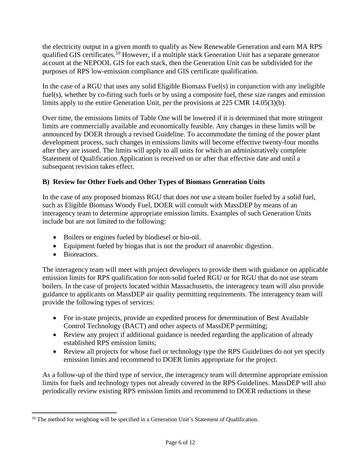the electricity output in a given month to qualify as New Renewable Generation and earn MA RPS qualified GIS certificates.[10](#page-5-0) However, if a multiple stack Generation Unit has a separate generator account at the NEPOOL GIS for each stack, then the Generation Unit can be subdivided for the purposes of RPS low-emission compliance and GIS certificate qualification.

In the case of a RGU that uses any solid Eligible Biomass Fuel(s) in conjunction with any ineligible fuel(s), whether by co-firing such fuels or by using a composite fuel, these size ranges and emission limits apply to the entire Generation Unit, per the provisions at 225 CMR 14.05(3)(b).

Over time, the emissions limits of Table One will be lowered if it is determined that more stringent limits are commercially available and economically feasible. Any changes in these limits will be announced by DOER through a revised Guideline. To accommodate the timing of the power plant development process, such changes in emissions limits will become effective twenty-four months after they are issued. The limits will apply to all units for which an administratively complete Statement of Qualification Application is received on or after that effective date and until a subsequent revision takes effect.

## **B) Review for Other Fuels and Other Types of Biomass Generation Units**

In the case of any proposed biomass RGU that does *not* use a steam boiler fueled by a solid fuel, such as Eligible Biomass Woody Fuel, DOER will consult with MassDEP by means of an interagency team to determine appropriate emission limits. Examples of such Generation Units include but are not limited to the following:

- Boilers or engines fueled by biodiesel or bio-oil.
- Equipment fueled by biogas that is not the product of anaerobic digestion.
- Bioreactors.

The interagency team will meet with project developers to provide them with guidance on applicable emission limits for RPS qualification for non-solid fueled RGU or for RGU that do not use steam boilers. In the case of projects located within Massachusetts, the interagency team will also provide guidance to applicants on MassDEP air quality permitting requirements. The interagency team will provide the following types of services:

- For in-state projects, provide an expedited process for determination of Best Available Control Technology (BACT) and other aspects of MassDEP permitting;
- Review any project if additional guidance is needed regarding the application of already established RPS emission limits;
- Review all projects for whose fuel or technology type the RPS Guidelines do not yet specify emission limits and recommend to DOER limits appropriate for the project.

As a follow-up of the third type of service, the interagency team will determine appropriate emission limits for fuels and technology types not already covered in the RPS Guidelines. MassDEP will also periodically review existing RPS emission limits and recommend to DOER reductions in these

<span id="page-5-0"></span> $10$  The method for weighting will be specified in a Generation Unit's Statement of Qualification.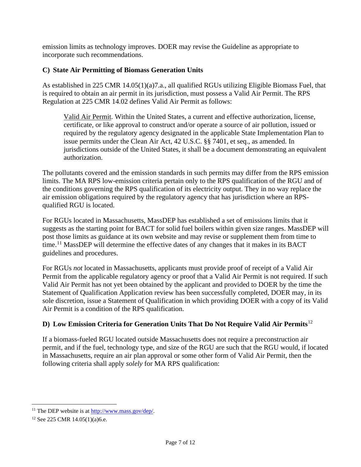emission limits as technology improves. DOER may revise the Guideline as appropriate to incorporate such recommendations.

## **C) State Air Permitting of Biomass Generation Units**

As established in 225 CMR 14.05(1)(a)7.a., all qualified RGUs utilizing Eligible Biomass Fuel, that is required to obtain an air permit in its jurisdiction, must possess a Valid Air Permit. The RPS Regulation at 225 CMR 14.02 defines Valid Air Permit as follows:

Valid Air Permit. Within the United States, a current and effective authorization, license, certificate, or like approval to construct and/or operate a source of air pollution, issued or required by the regulatory agency designated in the applicable State Implementation Plan to issue permits under the Clean Air Act, 42 U.S.C. §§ 7401, et seq., as amended. In jurisdictions outside of the United States, it shall be a document demonstrating an equivalent authorization.

The pollutants covered and the emission standards in such permits may differ from the RPS emission limits. The MA RPS low-emission criteria pertain only to the RPS qualification of the RGU and of the conditions governing the RPS qualification of its electricity output. They in no way replace the air emission obligations required by the regulatory agency that has jurisdiction where an RPSqualified RGU is located.

For RGUs located in Massachusetts, MassDEP has established a set of emissions limits that it suggests as the starting point for BACT for solid fuel boilers within given size ranges. MassDEP will post those limits as guidance at its own website and may revise or supplement them from time to time.<sup>[11](#page-6-0)</sup> MassDEP will determine the effective dates of any changes that it makes in its BACT guidelines and procedures.

For RGUs *not* located in Massachusetts, applicants must provide proof of receipt of a Valid Air Permit from the applicable regulatory agency or proof that a Valid Air Permit is not required. If such Valid Air Permit has not yet been obtained by the applicant and provided to DOER by the time the Statement of Qualification Application review has been successfully completed, DOER may, in its sole discretion, issue a Statement of Qualification in which providing DOER with a copy of its Valid Air Permit is a condition of the RPS qualification.

## **D) Low Emission Criteria for Generation Units That Do Not Require Valid Air Permits**[12](#page-6-1)

If a biomass-fueled RGU located outside Massachusetts does not require a preconstruction air permit, and if the fuel, technology type, and size of the RGU are such that the RGU would, if located in Massachusetts, require an air plan approval or some other form of Valid Air Permit, then the following criteria shall apply *solely* for MA RPS qualification:

<span id="page-6-0"></span><sup>&</sup>lt;sup>11</sup> The DEP website is at [http://www.mass.gov/dep/.](http://www.mass.gov/dep/)

<span id="page-6-1"></span><sup>12</sup> See 225 CMR 14.05(1)(a)6.e.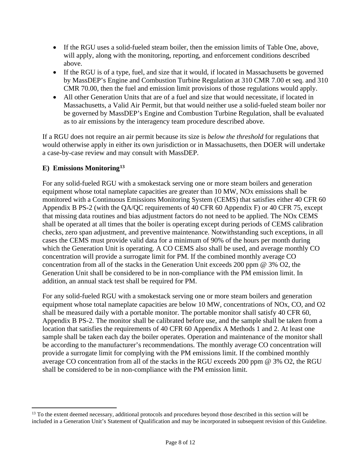- If the RGU uses a solid-fueled steam boiler, then the emission limits of Table One, above, will apply, along with the monitoring, reporting, and enforcement conditions described above.
- If the RGU is of a type, fuel, and size that it would, if located in Massachusetts be governed by MassDEP's Engine and Combustion Turbine Regulation at 310 CMR 7.00 et seq. and 310 CMR 70.00, then the fuel and emission limit provisions of those regulations would apply.
- All other Generation Units that are of a fuel and size that would necessitate, if located in Massachusetts, a Valid Air Permit, but that would neither use a solid-fueled steam boiler nor be governed by MassDEP's Engine and Combustion Turbine Regulation, shall be evaluated as to air emissions by the interagency team procedure described above.

If a RGU does not require an air permit because its size is *below the threshold* for regulations that would otherwise apply in either its own jurisdiction or in Massachusetts, then DOER will undertake a case-by-case review and may consult with MassDEP.

## **E) Emissions Monitoring[13](#page-7-0)**

For any solid-fueled RGU with a smokestack serving one or more steam boilers and generation equipment whose total nameplate capacities are greater than 10 MW, NOx emissions shall be monitored with a Continuous Emissions Monitoring System (CEMS) that satisfies either 40 CFR 60 Appendix B PS-2 (with the QA/QC requirements of 40 CFR 60 Appendix F) or 40 CFR 75, except that missing data routines and bias adjustment factors do not need to be applied. The NOx CEMS shall be operated at all times that the boiler is operating except during periods of CEMS calibration checks, zero span adjustment, and preventive maintenance. Notwithstanding such exceptions, in all cases the CEMS must provide valid data for a minimum of 90% of the hours per month during which the Generation Unit is operating. A CO CEMS also shall be used, and average monthly CO concentration will provide a surrogate limit for PM. If the combined monthly average CO concentration from all of the stacks in the Generation Unit exceeds 200 ppm @ 3% O2, the Generation Unit shall be considered to be in non-compliance with the PM emission limit. In addition, an annual stack test shall be required for PM.

For any solid-fueled RGU with a smokestack serving one or more steam boilers and generation equipment whose total nameplate capacities are below 10 MW, concentrations of NOx, CO, and O2 shall be measured daily with a portable monitor. The portable monitor shall satisfy 40 CFR 60, Appendix B PS-2. The monitor shall be calibrated before use, and the sample shall be taken from a location that satisfies the requirements of 40 CFR 60 Appendix A Methods 1 and 2. At least one sample shall be taken each day the boiler operates. Operation and maintenance of the monitor shall be according to the manufacturer's recommendations. The monthly average CO concentration will provide a surrogate limit for complying with the PM emissions limit. If the combined monthly average CO concentration from all of the stacks in the RGU exceeds 200 ppm @ 3% O2, the RGU shall be considered to be in non-compliance with the PM emission limit.

<span id="page-7-0"></span><sup>&</sup>lt;sup>13</sup> To the extent deemed necessary, additional protocols and procedures beyond those described in this section will be included in a Generation Unit's Statement of Qualification and may be incorporated in subsequent revision of this Guideline.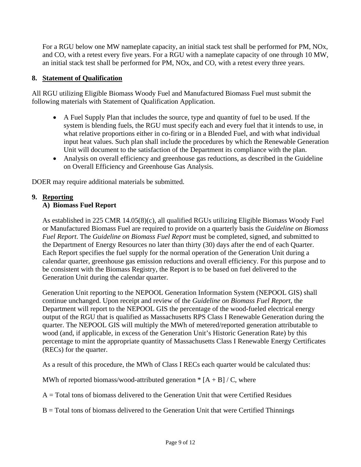For a RGU below one MW nameplate capacity, an initial stack test shall be performed for PM, NOx, and CO, with a retest every five years. For a RGU with a nameplate capacity of one through 10 MW, an initial stack test shall be performed for PM, NOx, and CO, with a retest every three years.

#### **8. Statement of Qualification**

All RGU utilizing Eligible Biomass Woody Fuel and Manufactured Biomass Fuel must submit the following materials with Statement of Qualification Application.

- A Fuel Supply Plan that includes the source, type and quantity of fuel to be used. If the system is blending fuels, the RGU must specify each and every fuel that it intends to use, in what relative proportions either in co-firing or in a Blended Fuel, and with what individual input heat values. Such plan shall include the procedures by which the Renewable Generation Unit will document to the satisfaction of the Department its compliance with the plan.
- Analysis on overall efficiency and greenhouse gas reductions, as described in the Guideline on Overall Efficiency and Greenhouse Gas Analysis.

DOER may require additional materials be submitted.

#### **9. Reporting A) Biomass Fuel Report**

As established in 225 CMR 14.05(8)(c), all qualified RGUs utilizing Eligible Biomass Woody Fuel or Manufactured Biomass Fuel are required to provide on a quarterly basis the *Guideline on Biomass Fuel Report*. The *Guideline on Biomass Fuel Report* must be completed, signed, and submitted to the Department of Energy Resources no later than thirty (30) days after the end of each Quarter. Each Report specifies the fuel supply for the normal operation of the Generation Unit during a calendar quarter, greenhouse gas emission reductions and overall efficiency. For this purpose and to be consistent with the Biomass Registry, the Report is to be based on fuel delivered to the Generation Unit during the calendar quarter.

Generation Unit reporting to the NEPOOL Generation Information System (NEPOOL GIS) shall continue unchanged. Upon receipt and review of the *Guideline on Biomass Fuel Report*, the Department will report to the NEPOOL GIS the percentage of the wood-fueled electrical energy output of the RGU that is qualified as Massachusetts RPS Class I Renewable Generation during the quarter. The NEPOOL GIS will multiply the MWh of metered/reported generation attributable to wood (and, if applicable, in excess of the Generation Unit's Historic Generation Rate) by this percentage to mint the appropriate quantity of Massachusetts Class I Renewable Energy Certificates (RECs) for the quarter.

As a result of this procedure, the MWh of Class I RECs each quarter would be calculated thus:

MWh of reported biomass/wood-attributed generation  $* [A + B]/C$ , where

 $A = Total tons of biomass delivered to the Generation Unit that were certified Residues$ 

B = Total tons of biomass delivered to the Generation Unit that were Certified Thinnings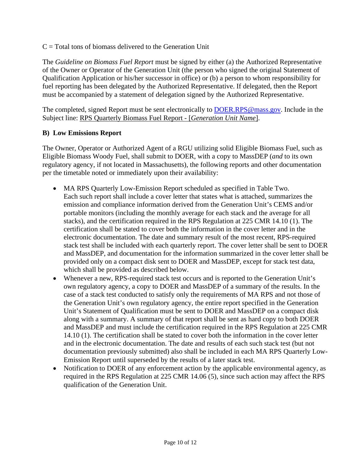$C = Total$  tons of biomass delivered to the Generation Unit

The *Guideline on Biomass Fuel Report* must be signed by either (a) the Authorized Representative of the Owner or Operator of the Generation Unit (the person who signed the original Statement of Qualification Application or his/her successor in office) or (b) a person to whom responsibility for fuel reporting has been delegated by the Authorized Representative. If delegated, then the Report must be accompanied by a statement of delegation signed by the Authorized Representative.

The completed, signed Report must be sent electronically to [DOER.RPS@mass.gov.](mailto:DOER.RPS@mass.gov) Include in the Subject line: RPS Quarterly Biomass Fuel Report - [*Generation Unit Name*].

## **B) Low Emissions Report**

The Owner, Operator or Authorized Agent of a RGU utilizing solid Eligible Biomass Fuel, such as Eligible Biomass Woody Fuel, shall submit to DOER, with a copy to MassDEP (*and* to its own regulatory agency, if not located in Massachusetts), the following reports and other documentation per the timetable noted or immediately upon their availability:

- MA RPS Quarterly Low-Emission Report scheduled as specified in Table Two. Each such report shall include a cover letter that states what is attached, summarizes the emission and compliance information derived from the Generation Unit's CEMS and/or portable monitors (including the monthly average for each stack and the average for all stacks), and the certification required in the RPS Regulation at 225 CMR 14.10 (1). The certification shall be stated to cover both the information in the cover letter and in the electronic documentation. The date and summary result of the most recent, RPS-required stack test shall be included with each quarterly report. The cover letter shall be sent to DOER and MassDEP, and documentation for the information summarized in the cover letter shall be provided only on a compact disk sent to DOER and MassDEP, except for stack test data, which shall be provided as described below.
- Whenever a new, RPS-required stack test occurs and is reported to the Generation Unit's own regulatory agency, a copy to DOER and MassDEP of a summary of the results. In the case of a stack test conducted to satisfy only the requirements of MA RPS and not those of the Generation Unit's own regulatory agency, the entire report specified in the Generation Unit's Statement of Qualification must be sent to DOER and MassDEP on a compact disk along with a summary. A summary of that report shall be sent as hard copy to both DOER and MassDEP and must include the certification required in the RPS Regulation at 225 CMR 14.10 (1). The certification shall be stated to cover both the information in the cover letter and in the electronic documentation. The date and results of each such stack test (but not documentation previously submitted) also shall be included in each MA RPS Quarterly Low-Emission Report until superseded by the results of a later stack test.
- Notification to DOER of any enforcement action by the applicable environmental agency, as required in the RPS Regulation at 225 CMR 14.06 (5), since such action may affect the RPS qualification of the Generation Unit.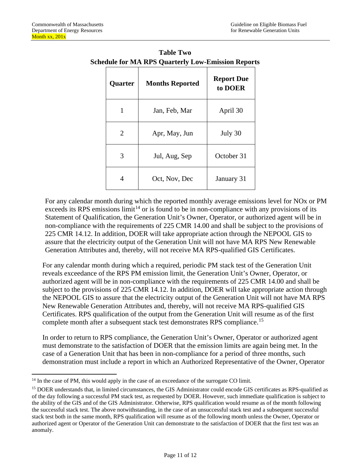| Quarter        | <b>Months Reported</b> | <b>Report Due</b><br>to DOER |
|----------------|------------------------|------------------------------|
| 1              | Jan, Feb, Mar          | April 30                     |
| $\overline{2}$ | Apr, May, Jun          | July 30                      |
| 3              | Jul, Aug, Sep          | October 31                   |
| 4              | Oct, Nov, Dec          | January 31                   |

**Table Two Schedule for MA RPS Quarterly Low-Emission Reports**

For any calendar month during which the reported monthly average emissions level for NOx or PM exceeds its RPS emissions  $\lim_{t \to 1}$  or is found to be in non-compliance with any provisions of its Statement of Qualification, the Generation Unit's Owner, Operator, or authorized agent will be in non-compliance with the requirements of 225 CMR 14.00 and shall be subject to the provisions of 225 CMR 14.12. In addition, DOER will take appropriate action through the NEPOOL GIS to assure that the electricity output of the Generation Unit will not have MA RPS New Renewable Generation Attributes and, thereby, will not receive MA RPS-qualified GIS Certificates.

For any calendar month during which a required, periodic PM stack test of the Generation Unit reveals exceedance of the RPS PM emission limit, the Generation Unit's Owner, Operator, or authorized agent will be in non-compliance with the requirements of 225 CMR 14.00 and shall be subject to the provisions of 225 CMR 14.12. In addition, DOER will take appropriate action through the NEPOOL GIS to assure that the electricity output of the Generation Unit will not have MA RPS New Renewable Generation Attributes and, thereby, will not receive MA RPS-qualified GIS Certificates. RPS qualification of the output from the Generation Unit will resume as of the first complete month after a subsequent stack test demonstrates RPS compliance.<sup>[15](#page-10-1)</sup>

In order to return to RPS compliance, the Generation Unit's Owner, Operator or authorized agent must demonstrate to the satisfaction of DOER that the emission limits are again being met. In the case of a Generation Unit that has been in non-compliance for a period of three months, such demonstration must include a report in which an Authorized Representative of the Owner, Operator

<span id="page-10-0"></span> $14$  In the case of PM, this would apply in the case of an exceedance of the surrogate CO limit.

<span id="page-10-1"></span><sup>&</sup>lt;sup>15</sup> DOER understands that, in limited circumstances, the GIS Administrator could encode GIS certificates as RPS-qualified as of the day following a successful PM stack test, as requested by DOER. However, such immediate qualification is subject to the ability of the GIS and of the GIS Administrator. Otherwise, RPS qualification would resume as of the month following the successful stack test. The above notwithstanding, in the case of an unsuccessful stack test and a subsequent successful stack test both in the same month, RPS qualification will resume as of the following month unless the Owner, Operator or authorized agent or Operator of the Generation Unit can demonstrate to the satisfaction of DOER that the first test was an anomaly.